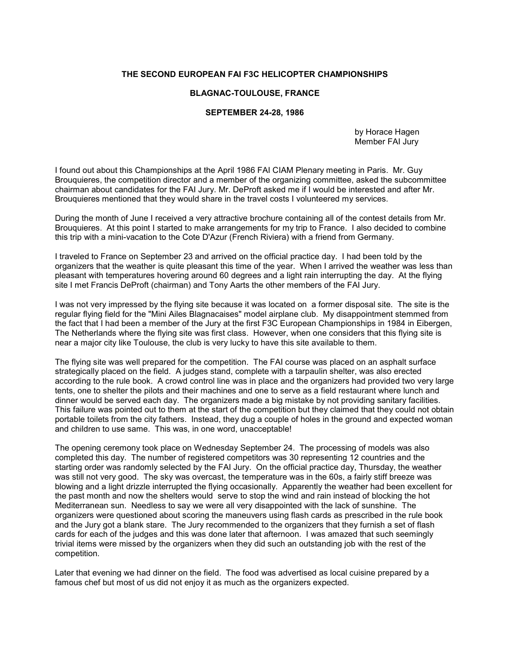## THE SECOND EUROPEAN FAI F3C HELICOPTER CHAMPIONSHIPS

## BLAGNAC-TOULOUSE, FRANCE

## SEPTEMBER 24-28, 1986

 by Horace Hagen Member FAI Jury

I found out about this Championships at the April 1986 FAI CIAM Plenary meeting in Paris. Mr. Guy Brouquieres, the competition director and a member of the organizing committee, asked the subcommittee chairman about candidates for the FAI Jury. Mr. DeProft asked me if I would be interested and after Mr. Brouquieres mentioned that they would share in the travel costs I volunteered my services.

During the month of June I received a very attractive brochure containing all of the contest details from Mr. Brouquieres. At this point I started to make arrangements for my trip to France. I also decided to combine this trip with a mini-vacation to the Cote D'Azur (French Riviera) with a friend from Germany.

I traveled to France on September 23 and arrived on the official practice day. I had been told by the organizers that the weather is quite pleasant this time of the year. When I arrived the weather was less than pleasant with temperatures hovering around 60 degrees and a light rain interrupting the day. At the flying site I met Francis DeProft (chairman) and Tony Aarts the other members of the FAI Jury.

I was not very impressed by the flying site because it was located on a former disposal site. The site is the regular flying field for the "Mini Ailes Blagnacaises" model airplane club. My disappointment stemmed from the fact that I had been a member of the Jury at the first F3C European Championships in 1984 in Eibergen, The Netherlands where the flying site was first class. However, when one considers that this flying site is near a major city like Toulouse, the club is very lucky to have this site available to them.

The flying site was well prepared for the competition. The FAI course was placed on an asphalt surface strategically placed on the field. A judges stand, complete with a tarpaulin shelter, was also erected according to the rule book. A crowd control line was in place and the organizers had provided two very large tents, one to shelter the pilots and their machines and one to serve as a field restaurant where lunch and dinner would be served each day. The organizers made a big mistake by not providing sanitary facilities. This failure was pointed out to them at the start of the competition but they claimed that they could not obtain portable toilets from the city fathers. Instead, they dug a couple of holes in the ground and expected woman and children to use same. This was, in one word, unacceptable!

The opening ceremony took place on Wednesday September 24. The processing of models was also completed this day. The number of registered competitors was 30 representing 12 countries and the starting order was randomly selected by the FAI Jury. On the official practice day, Thursday, the weather was still not very good. The sky was overcast, the temperature was in the 60s, a fairly stiff breeze was blowing and a light drizzle interrupted the flying occasionally. Apparently the weather had been excellent for the past month and now the shelters would serve to stop the wind and rain instead of blocking the hot Mediterranean sun. Needless to say we were all very disappointed with the lack of sunshine. The organizers were questioned about scoring the maneuvers using flash cards as prescribed in the rule book and the Jury got a blank stare. The Jury recommended to the organizers that they furnish a set of flash cards for each of the judges and this was done later that afternoon. I was amazed that such seemingly trivial items were missed by the organizers when they did such an outstanding job with the rest of the competition.

Later that evening we had dinner on the field. The food was advertised as local cuisine prepared by a famous chef but most of us did not enjoy it as much as the organizers expected.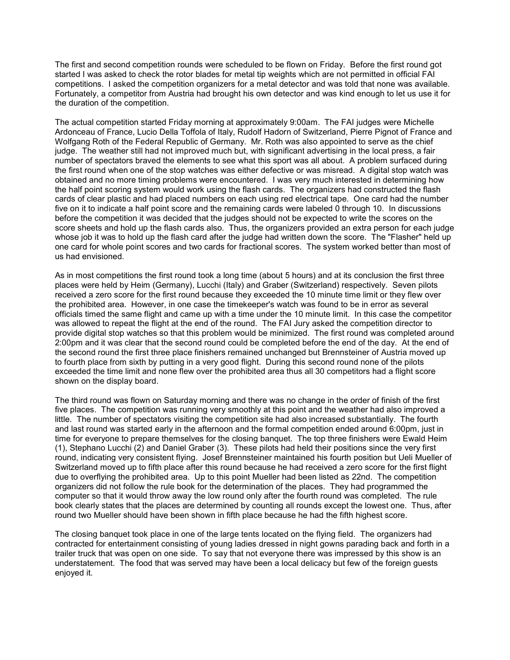The first and second competition rounds were scheduled to be flown on Friday. Before the first round got started I was asked to check the rotor blades for metal tip weights which are not permitted in official FAI competitions. I asked the competition organizers for a metal detector and was told that none was available. Fortunately, a competitor from Austria had brought his own detector and was kind enough to let us use it for the duration of the competition.

The actual competition started Friday morning at approximately 9:00am. The FAI judges were Michelle Ardonceau of France, Lucio Della Toffola of Italy, Rudolf Hadorn of Switzerland, Pierre Pignot of France and Wolfgang Roth of the Federal Republic of Germany. Mr. Roth was also appointed to serve as the chief judge. The weather still had not improved much but, with significant advertising in the local press, a fair number of spectators braved the elements to see what this sport was all about. A problem surfaced during the first round when one of the stop watches was either defective or was misread. A digital stop watch was obtained and no more timing problems were encountered. I was very much interested in determining how the half point scoring system would work using the flash cards. The organizers had constructed the flash cards of clear plastic and had placed numbers on each using red electrical tape. One card had the number five on it to indicate a half point score and the remaining cards were labeled 0 through 10. In discussions before the competition it was decided that the judges should not be expected to write the scores on the score sheets and hold up the flash cards also. Thus, the organizers provided an extra person for each judge whose job it was to hold up the flash card after the judge had written down the score. The "Flasher" held up one card for whole point scores and two cards for fractional scores. The system worked better than most of us had envisioned.

As in most competitions the first round took a long time (about 5 hours) and at its conclusion the first three places were held by Heim (Germany), Lucchi (Italy) and Graber (Switzerland) respectively. Seven pilots received a zero score for the first round because they exceeded the 10 minute time limit or they flew over the prohibited area. However, in one case the timekeeper's watch was found to be in error as several officials timed the same flight and came up with a time under the 10 minute limit. In this case the competitor was allowed to repeat the flight at the end of the round. The FAI Jury asked the competition director to provide digital stop watches so that this problem would be minimized. The first round was completed around 2:00pm and it was clear that the second round could be completed before the end of the day. At the end of the second round the first three place finishers remained unchanged but Brennsteiner of Austria moved up to fourth place from sixth by putting in a very good flight. During this second round none of the pilots exceeded the time limit and none flew over the prohibited area thus all 30 competitors had a flight score shown on the display board.

The third round was flown on Saturday morning and there was no change in the order of finish of the first five places. The competition was running very smoothly at this point and the weather had also improved a little. The number of spectators visiting the competition site had also increased substantially. The fourth and last round was started early in the afternoon and the formal competition ended around 6:00pm, just in time for everyone to prepare themselves for the closing banquet. The top three finishers were Ewald Heim (1), Stephano Lucchi (2) and Daniel Graber (3). These pilots had held their positions since the very first round, indicating very consistent flying. Josef Brennsteiner maintained his fourth position but Ueli Mueller of Switzerland moved up to fifth place after this round because he had received a zero score for the first flight due to overflying the prohibited area. Up to this point Mueller had been listed as 22nd. The competition organizers did not follow the rule book for the determination of the places. They had programmed the computer so that it would throw away the low round only after the fourth round was completed. The rule book clearly states that the places are determined by counting all rounds except the lowest one. Thus, after round two Mueller should have been shown in fifth place because he had the fifth highest score.

The closing banquet took place in one of the large tents located on the flying field. The organizers had contracted for entertainment consisting of young ladies dressed in night gowns parading back and forth in a trailer truck that was open on one side. To say that not everyone there was impressed by this show is an understatement. The food that was served may have been a local delicacy but few of the foreign guests enjoyed it.